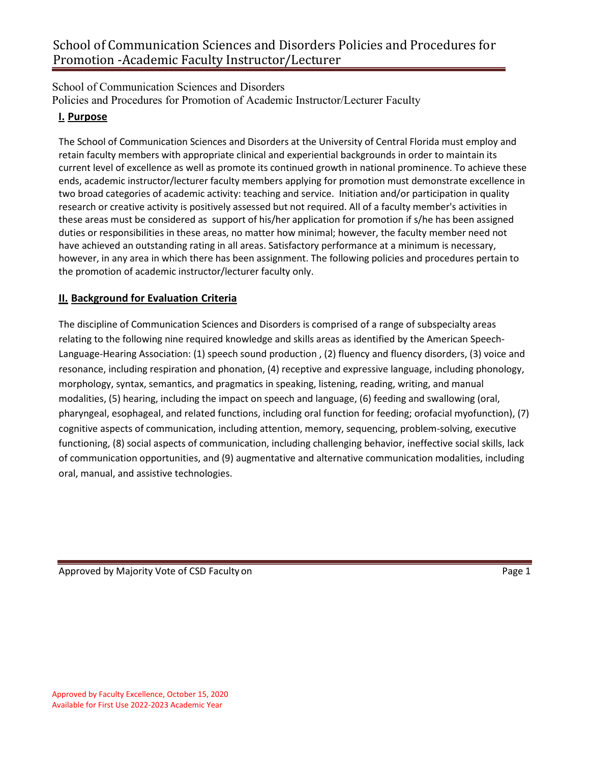School of Communication Sciences and Disorders Policies and Procedures for Promotion of Academic Instructor/Lecturer Faculty

## **I. Purpose**

The School of Communication Sciences and Disorders at the University of Central Florida must employ and retain faculty members with appropriate clinical and experiential backgrounds in order to maintain its current level of excellence as well as promote its continued growth in national prominence. To achieve these ends, academic instructor/lecturer faculty members applying for promotion must demonstrate excellence in two broad categories of academic activity: teaching and service. Initiation and/or participation in quality research or creative activity is positively assessed but not required. All of a faculty member's activities in these areas must be considered as support of his/her application for promotion if s/he has been assigned duties or responsibilities in these areas, no matter how minimal; however, the faculty member need not have achieved an outstanding rating in all areas. Satisfactory performance at a minimum is necessary, however, in any area in which there has been assignment. The following policies and procedures pertain to the promotion of academic instructor/lecturer faculty only.

## **II. Background for Evaluation Criteria**

The discipline of Communication Sciences and Disorders is comprised of a range of subspecialty areas relating to the following nine required knowledge and skills areas as identified by the American Speech-Language-Hearing Association: (1) speech sound production , (2) fluency and fluency disorders, (3) voice and resonance, including respiration and phonation, (4) receptive and expressive language, including phonology, morphology, syntax, semantics, and pragmatics in speaking, listening, reading, writing, and manual modalities, (5) hearing, including the impact on speech and language, (6) feeding and swallowing (oral, pharyngeal, esophageal, and related functions, including oral function for feeding; orofacial myofunction), (7) cognitive aspects of communication, including attention, memory, sequencing, problem-solving, executive functioning, (8) social aspects of communication, including challenging behavior, ineffective social skills, lack of communication opportunities, and (9) augmentative and alternative communication modalities, including oral, manual, and assistive technologies.

Approved by Majority Vote of CSD Faculty on Page 1 and Page 1 and Page 1 and Page 1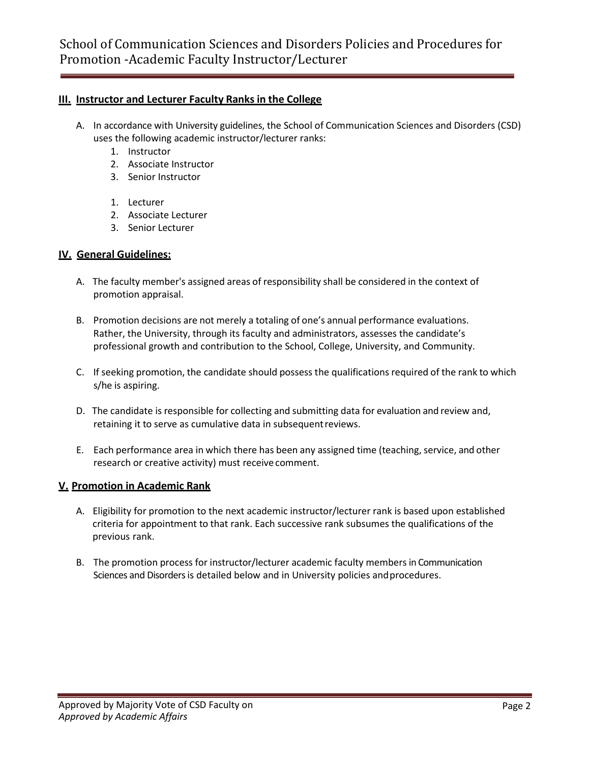## **III. Instructor and Lecturer Faculty Ranks in the College**

- A. In accordance with University guidelines, the School of Communication Sciences and Disorders (CSD) uses the following academic instructor/lecturer ranks:
	- 1. Instructor
	- 2. Associate Instructor
	- 3. Senior Instructor
	- 1. Lecturer
	- 2. Associate Lecturer
	- 3. Senior Lecturer

## **IV. General Guidelines:**

- A. The faculty member's assigned areas of responsibility shall be considered in the context of promotion appraisal.
- B. Promotion decisions are not merely a totaling of one's annual performance evaluations. Rather, the University, through its faculty and administrators, assesses the candidate's professional growth and contribution to the School, College, University, and Community.
- C. If seeking promotion, the candidate should possess the qualifications required of the rank to which s/he is aspiring.
- D. The candidate is responsible for collecting and submitting data for evaluation and review and, retaining it to serve as cumulative data in subsequentreviews.
- E. Each performance area in which there has been any assigned time (teaching, service, and other research or creative activity) must receive comment.

## **V. Promotion in Academic Rank**

- A. Eligibility for promotion to the next academic instructor/lecturer rank is based upon established criteria for appointment to that rank. Each successive rank subsumes the qualifications of the previous rank.
- B. The promotion process for instructor/lecturer academic faculty members in Communication Sciences and Disorders is detailed below and in University policies andprocedures.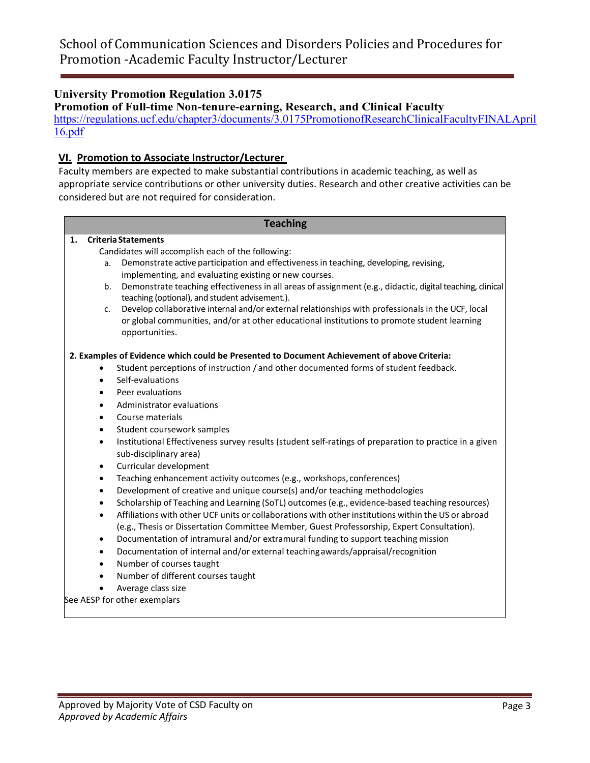## **University Promotion Regulation 3.0175**

**Promotion of Full-time Non-tenure-earning, Research, and Clinical Faculty** [https://regulations.ucf.edu/chapter3/documents/3.0175PromotionofResearchClinicalFacultyFINALApril](https://regulations.ucf.edu/chapter3/documents/3.0175PromotionofResearchClinicalFacultyFINALApril16.pdf) [16.pdf](https://regulations.ucf.edu/chapter3/documents/3.0175PromotionofResearchClinicalFacultyFINALApril16.pdf)

## **VI. Promotion to Associate Instructor/Lecturer**

Faculty members are expected to make substantial contributions in academic teaching, as well as appropriate service contributions or other university duties. Research and other creative activities can be considered but are not required for consideration.

### **Teaching**

### **1. CriteriaStatements**

Candidates will accomplish each of the following:

- a. Demonstrate active participation and effectiveness in teaching, developing, revising, implementing, and evaluating existing or new courses.
- b. Demonstrate teaching effectiveness in all areas of assignment (e.g., didactic, digital teaching, clinical teaching (optional), and student advisement.).
- c. Develop collaborative internal and/or external relationships with professionals in the UCF, local or global communities, and/or at other educational institutions to promote student learning opportunities.

### **2. Examples of Evidence which could be Presented to Document Achievement of above Criteria:**

- Student perceptions of instruction / and other documented forms of student feedback.
- Self-evaluations
- Peer evaluations
- Administrator evaluations
- Course materials
- Student coursework samples
- Institutional Effectiveness survey results (student self-ratings of preparation to practice in a given sub-disciplinary area)
- Curricular development
- Teaching enhancement activity outcomes (e.g., workshops, conferences)
- Development of creative and unique course(s) and/or teaching methodologies
- Scholarship of Teaching and Learning (SoTL) outcomes (e.g., evidence-based teaching resources)
- Affiliations with other UCF units or collaborations with other institutions within the US or abroad (e.g., Thesis or Dissertation Committee Member, Guest Professorship, Expert Consultation).
- Documentation of intramural and/or extramural funding to support teaching mission
- Documentation of internal and/or external teachingawards/appraisal/recognition
- Number of courses taught
- Number of different courses taught
- Average class size

See AESP for other exemplars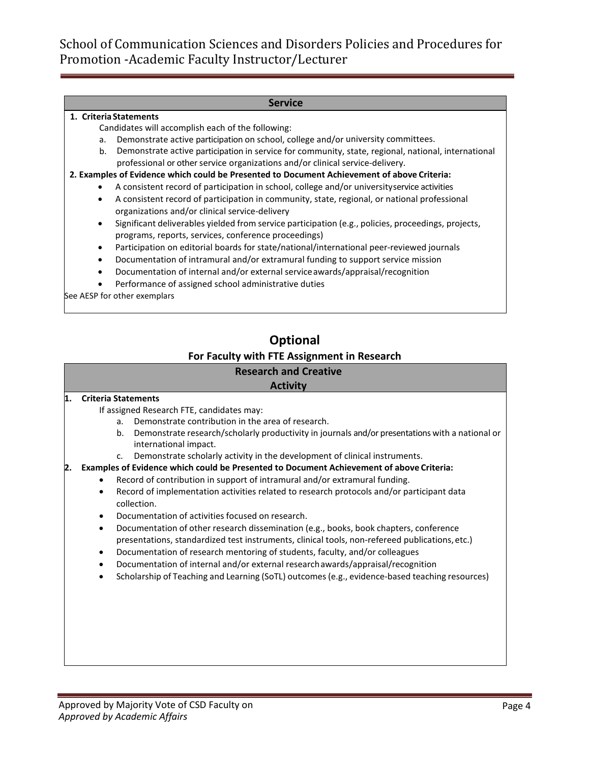#### **Service**

#### **1. CriteriaStatements**

Candidates will accomplish each of the following:

- a. Demonstrate active participation on school, college and/or university committees.
- b. Demonstrate active participation in service for community, state, regional, national, international professional or other service organizations and/or clinical service-delivery.
- **2. Examples of Evidence which could be Presented to Document Achievement of above Criteria:**
	- A consistent record of participation in school, college and/or universityservice activities
	- A consistent record of participation in community, state, regional, or national professional organizations and/or clinical service-delivery
	- Significant deliverables yielded from service participation (e.g., policies, proceedings, projects, programs, reports, services, conference proceedings)
	- Participation on editorial boards for state/national/international peer-reviewed journals
	- Documentation of intramural and/or extramural funding to support service mission
	- Documentation of internal and/or external serviceawards/appraisal/recognition
	- Performance of assigned school administrative duties

See AESP for other exemplars

# **Optional For Faculty with FTE Assignment in Research**

# **Research and Creative**

# **Activity**

#### **1. Criteria Statements**

- If assigned Research FTE, candidates may:
	- a. Demonstrate contribution in the area of research.
	- b. Demonstrate research/scholarly productivity in journals and/or presentations with a national or international impact.
	- c. Demonstrate scholarly activity in the development of clinical instruments.
- **2. Examples of Evidence which could be Presented to Document Achievement of above Criteria:**
	- Record of contribution in support of intramural and/or extramural funding.
	- Record of implementation activities related to research protocols and/or participant data collection.
	- Documentation of activities focused on research.
	- Documentation of other research dissemination (e.g., books, book chapters, conference presentations, standardized test instruments, clinical tools, non-refereed publications,etc.)
	- Documentation of research mentoring of students, faculty, and/or colleagues
	- Documentation of internal and/or external researchawards/appraisal/recognition
	- Scholarship of Teaching and Learning (SoTL) outcomes (e.g., evidence-based teaching resources)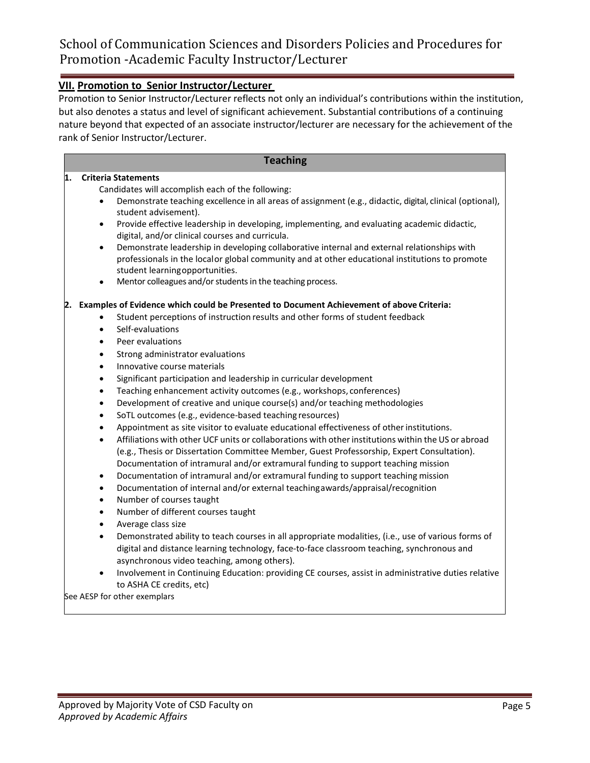## **VII. Promotion to Senior Instructor/Lecturer**

Promotion to Senior Instructor/Lecturer reflects not only an individual's contributions within the institution, but also denotes a status and level of significant achievement. Substantial contributions of a continuing nature beyond that expected of an associate instructor/lecturer are necessary for the achievement of the rank of Senior Instructor/Lecturer.

### **Teaching**

### **1. Criteria Statements**

Candidates will accomplish each of the following:

- Demonstrate teaching excellence in all areas of assignment (e.g., didactic, digital, clinical (optional), student advisement).
- Provide effective leadership in developing, implementing, and evaluating academic didactic, digital, and/or clinical courses and curricula.
- Demonstrate leadership in developing collaborative internal and external relationships with professionals in the localor global community and at other educational institutions to promote student learningopportunities.
- Mentor colleagues and/or students in the teaching process.

#### **2. Examples of Evidence which could be Presented to Document Achievement of above Criteria:**

- Student perceptions of instruction results and other forms of student feedback
- Self-evaluations
- Peer evaluations
- Strong administrator evaluations
- Innovative course materials
- Significant participation and leadership in curricular development
- Teaching enhancement activity outcomes (e.g., workshops, conferences)
- Development of creative and unique course(s) and/or teaching methodologies
- SoTL outcomes (e.g., evidence-based teaching resources)
- Appointment as site visitor to evaluate educational effectiveness of otherinstitutions.
- Affiliations with other UCF units or collaborations with otherinstitutions within the US or abroad (e.g., Thesis or Dissertation Committee Member, Guest Professorship, Expert Consultation). Documentation of intramural and/or extramural funding to support teaching mission
- Documentation of intramural and/or extramural funding to support teaching mission
- Documentation of internal and/or external teachingawards/appraisal/recognition
- Number of courses taught
- Number of different courses taught
- Average class size
- Demonstrated ability to teach courses in all appropriate modalities, (i.e., use of various forms of digital and distance learning technology, face-to-face classroom teaching, synchronous and asynchronous video teaching, among others).
- Involvement in Continuing Education: providing CE courses, assist in administrative duties relative to ASHA CE credits, etc)

See AESP for other exemplars